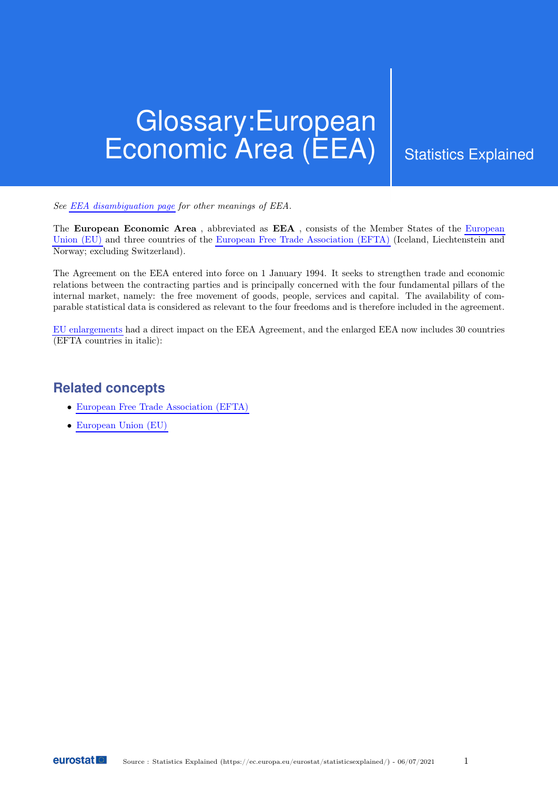## Glossary:European Economic Area (EEA) Statistics Explained

See [EEA disambiguation page](https://ec.europa.eu/eurostat/statistics-explained/index.php/Glossary:EEA) for other meanings of EEA.

The European Economic Area , abbreviated as EEA , consists of the Member States of the [European](https://ec.europa.eu/eurostat/statistics-explained/index.php/Glossary:European_Union_(EU)) [Union \(EU\)](https://ec.europa.eu/eurostat/statistics-explained/index.php/Glossary:European_Union_(EU)) and three countries of the [European Free Trade Association \(EFTA\)](https://ec.europa.eu/eurostat/statistics-explained/index.php/Glossary:European_Free_Trade_Association_(EFTA)) (Iceland, Liechtenstein and Norway; excluding Switzerland).

The Agreement on the EEA entered into force on 1 January 1994. It seeks to strengthen trade and economic relations between the contracting parties and is principally concerned with the four fundamental pillars of the internal market, namely: the free movement of goods, people, services and capital. The availability of comparable statistical data is considered as relevant to the four freedoms and is therefore included in the agreement.

[EU enlargements](https://ec.europa.eu/eurostat/statistics-explained/index.php/Glossary:EU_enlargements) had a direct impact on the EEA Agreement, and the enlarged EEA now includes 30 countries (EFTA countries in italic):

## **Related concepts**

- [European Free Trade Association \(EFTA\)](https://ec.europa.eu/eurostat/statistics-explained/index.php/Glossary:European_Free_Trade_Association_(EFTA))
- [European Union \(EU\)](https://ec.europa.eu/eurostat/statistics-explained/index.php/Glossary:European_Union_(EU))